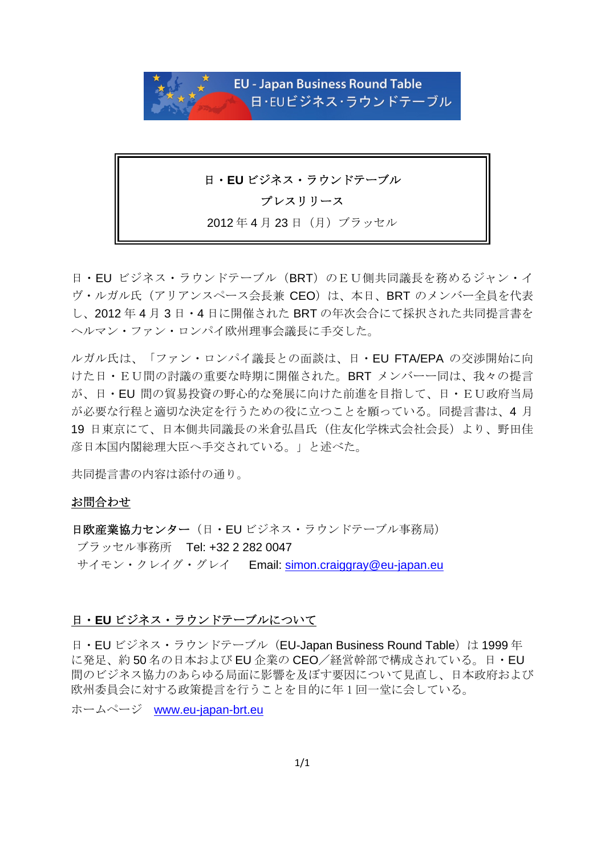

### 日・**EU** ビジネス・ラウンドテーブル

## プレスリリース

2012年4月23日(月)ブラッセル

日・EU ビジネス・ラウンドテーブル(BRT)のEU側共同議長を務めるジャン・イ ヴ・ルガル氏(アリアンスペース会長兼 CEO)は、本日、BRT のメンバー全員を代表 し、2012 年 4 月 3 日・4 日に開催された BRT の年次会合にて採択された共同提言書を ヘルマン・ファン・ロンパイ欧州理事会議長に手交した。

ルガル氏は、「ファン・ロンパイ議長との面談は、日・EU FTA/EPA の交渉開始に向 けた日・EU間の討議の重要な時期に開催された。BRT メンバーー同は、我々の提言 が、日・EU 間の貿易投資の野心的な発展に向けた前進を目指して、日・EU政府当局 が必要な行程と適切な決定を行うための役に立つことを願っている。同提言書は、4 月 19 日東京にて、日本側共同議長の米倉弘昌氏(住友化学株式会社会長)より、野田佳 彦日本国内閣総理大臣へ手交されている。」と述べた。

共同提言書の内容は添付の通り。

### お問合わせ

日欧産業協力センター(日·EU ビジネス・ラウンドテーブル事務局) ブラッセル事務所 Tel: +32 2 282 0047 サイモン・クレイグ・グレイ Email: simon.craiggray@eu-japan.eu

### 日・**EU** ビジネス・ラウンドテーブルについて

日·EU ビジネス・ラウンドテーブル (EU-Japan Business Round Table) は 1999 年 に発足、約 50 名の日本および EU 企業の CEO/経営幹部で構成されている。日・EU 間のビジネス協力のあらゆる局面に影響を及ぼす要因について見直し、日本政府および 欧州委員会に対する政策提言を行うことを目的に年 1 回一堂に会している。

ホームページ www.eu-japan-brt.eu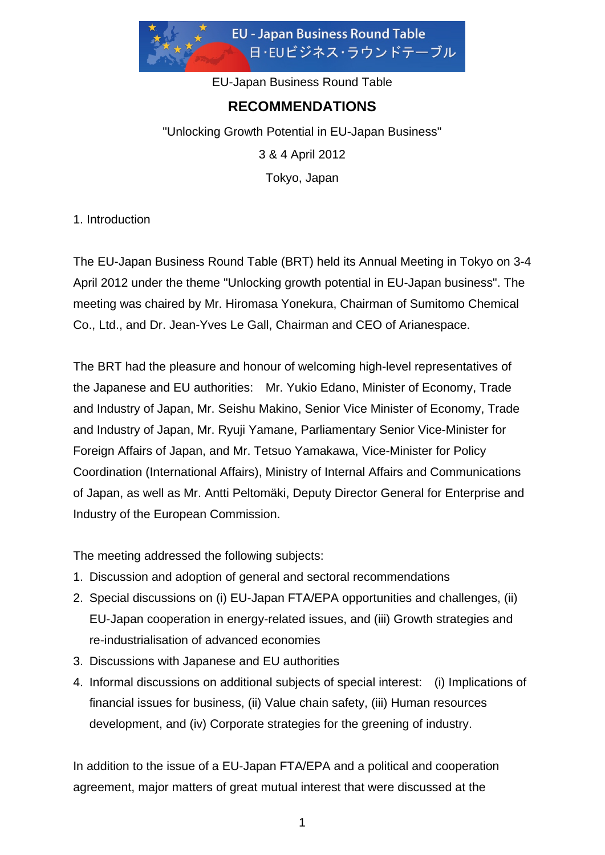

EU-Japan Business Round Table

# **RECOMMENDATIONS**

"Unlocking Growth Potential in EU-Japan Business" 3 & 4 April 2012 Tokyo, Japan

1. Introduction

The EU-Japan Business Round Table (BRT) held its Annual Meeting in Tokyo on 3-4 April 2012 under the theme "Unlocking growth potential in EU-Japan business". The meeting was chaired by Mr. Hiromasa Yonekura, Chairman of Sumitomo Chemical Co., Ltd., and Dr. Jean-Yves Le Gall, Chairman and CEO of Arianespace.

The BRT had the pleasure and honour of welcoming high-level representatives of the Japanese and EU authorities: Mr. Yukio Edano, Minister of Economy, Trade and Industry of Japan, Mr. Seishu Makino, Senior Vice Minister of Economy, Trade and Industry of Japan, Mr. Ryuji Yamane, Parliamentary Senior Vice-Minister for Foreign Affairs of Japan, and Mr. Tetsuo Yamakawa, Vice-Minister for Policy Coordination (International Affairs), Ministry of Internal Affairs and Communications of Japan, as well as Mr. Antti Peltomäki, Deputy Director General for Enterprise and Industry of the European Commission.

The meeting addressed the following subjects:

- 1. Discussion and adoption of general and sectoral recommendations
- 2. Special discussions on (i) EU-Japan FTA/EPA opportunities and challenges, (ii) EU-Japan cooperation in energy-related issues, and (iii) Growth strategies and re-industrialisation of advanced economies
- 3. Discussions with Japanese and EU authorities
- 4. Informal discussions on additional subjects of special interest: (i) Implications of financial issues for business, (ii) Value chain safety, (iii) Human resources development, and (iv) Corporate strategies for the greening of industry.

In addition to the issue of a EU-Japan FTA/EPA and a political and cooperation agreement, major matters of great mutual interest that were discussed at the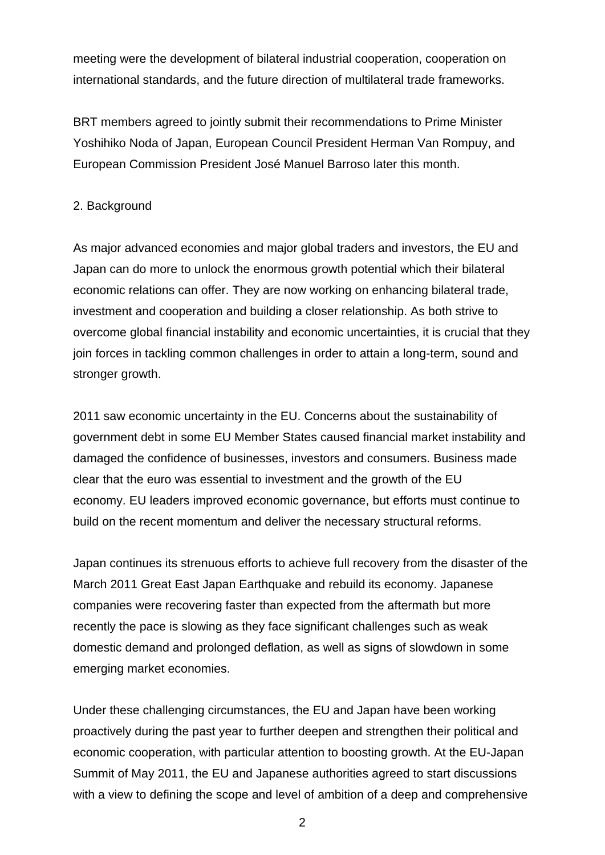meeting were the development of bilateral industrial cooperation, cooperation on international standards, and the future direction of multilateral trade frameworks.

BRT members agreed to jointly submit their recommendations to Prime Minister Yoshihiko Noda of Japan, European Council President Herman Van Rompuy, and European Commission President José Manuel Barroso later this month.

### 2. Background

As major advanced economies and major global traders and investors, the EU and Japan can do more to unlock the enormous growth potential which their bilateral economic relations can offer. They are now working on enhancing bilateral trade, investment and cooperation and building a closer relationship. As both strive to overcome global financial instability and economic uncertainties, it is crucial that they join forces in tackling common challenges in order to attain a long-term, sound and stronger growth.

2011 saw economic uncertainty in the EU. Concerns about the sustainability of government debt in some EU Member States caused financial market instability and damaged the confidence of businesses, investors and consumers. Business made clear that the euro was essential to investment and the growth of the EU economy. EU leaders improved economic governance, but efforts must continue to build on the recent momentum and deliver the necessary structural reforms.

Japan continues its strenuous efforts to achieve full recovery from the disaster of the March 2011 Great East Japan Earthquake and rebuild its economy. Japanese companies were recovering faster than expected from the aftermath but more recently the pace is slowing as they face significant challenges such as weak domestic demand and prolonged deflation, as well as signs of slowdown in some emerging market economies.

Under these challenging circumstances, the EU and Japan have been working proactively during the past year to further deepen and strengthen their political and economic cooperation, with particular attention to boosting growth. At the EU-Japan Summit of May 2011, the EU and Japanese authorities agreed to start discussions with a view to defining the scope and level of ambition of a deep and comprehensive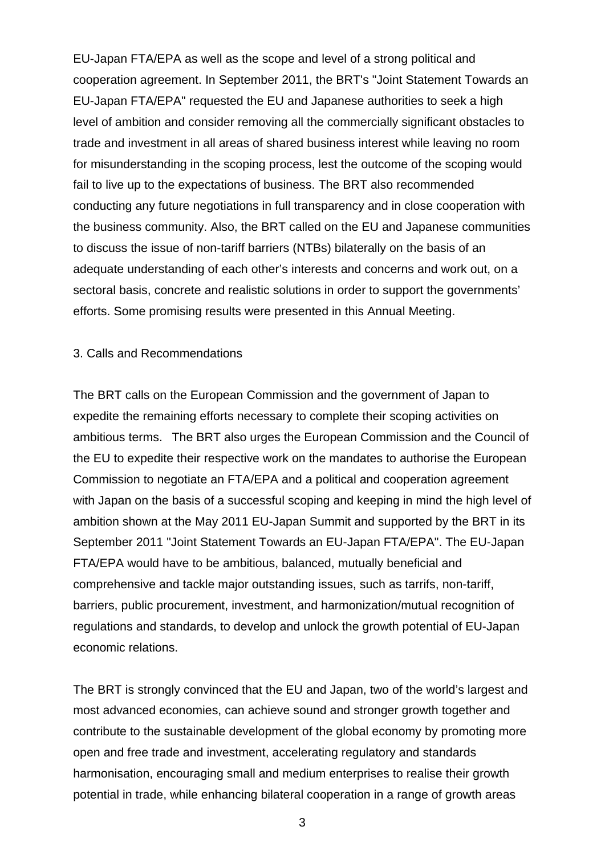EU-Japan FTA/EPA as well as the scope and level of a strong political and cooperation agreement. In September 2011, the BRT's "Joint Statement Towards an EU-Japan FTA/EPA" requested the EU and Japanese authorities to seek a high level of ambition and consider removing all the commercially significant obstacles to trade and investment in all areas of shared business interest while leaving no room for misunderstanding in the scoping process, lest the outcome of the scoping would fail to live up to the expectations of business. The BRT also recommended conducting any future negotiations in full transparency and in close cooperation with the business community. Also, the BRT called on the EU and Japanese communities to discuss the issue of non-tariff barriers (NTBs) bilaterally on the basis of an adequate understanding of each other's interests and concerns and work out, on a sectoral basis, concrete and realistic solutions in order to support the governments' efforts. Some promising results were presented in this Annual Meeting.

### 3. Calls and Recommendations

The BRT calls on the European Commission and the government of Japan to expedite the remaining efforts necessary to complete their scoping activities on ambitious terms. The BRT also urges the European Commission and the Council of the EU to expedite their respective work on the mandates to authorise the European Commission to negotiate an FTA/EPA and a political and cooperation agreement with Japan on the basis of a successful scoping and keeping in mind the high level of ambition shown at the May 2011 EU-Japan Summit and supported by the BRT in its September 2011 "Joint Statement Towards an EU-Japan FTA/EPA". The EU-Japan FTA/EPA would have to be ambitious, balanced, mutually beneficial and comprehensive and tackle major outstanding issues, such as tarrifs, non-tariff, barriers, public procurement, investment, and harmonization/mutual recognition of regulations and standards, to develop and unlock the growth potential of EU-Japan economic relations.

The BRT is strongly convinced that the EU and Japan, two of the world's largest and most advanced economies, can achieve sound and stronger growth together and contribute to the sustainable development of the global economy by promoting more open and free trade and investment, accelerating regulatory and standards harmonisation, encouraging small and medium enterprises to realise their growth potential in trade, while enhancing bilateral cooperation in a range of growth areas

3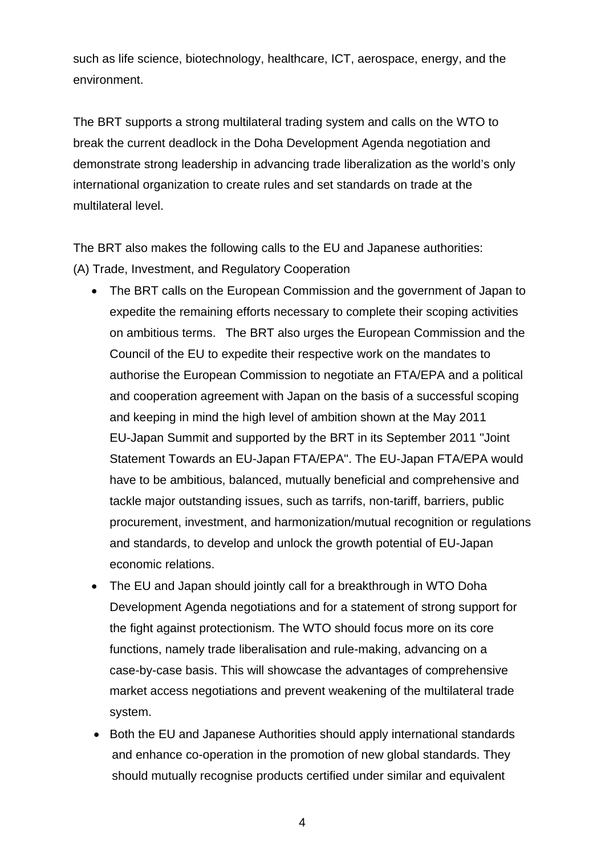such as life science, biotechnology, healthcare, ICT, aerospace, energy, and the environment.

The BRT supports a strong multilateral trading system and calls on the WTO to break the current deadlock in the Doha Development Agenda negotiation and demonstrate strong leadership in advancing trade liberalization as the world's only international organization to create rules and set standards on trade at the multilateral level.

The BRT also makes the following calls to the EU and Japanese authorities: (A) Trade, Investment, and Regulatory Cooperation

- The BRT calls on the European Commission and the government of Japan to expedite the remaining efforts necessary to complete their scoping activities on ambitious terms. The BRT also urges the European Commission and the Council of the EU to expedite their respective work on the mandates to authorise the European Commission to negotiate an FTA/EPA and a political and cooperation agreement with Japan on the basis of a successful scoping and keeping in mind the high level of ambition shown at the May 2011 EU-Japan Summit and supported by the BRT in its September 2011 "Joint Statement Towards an EU-Japan FTA/EPA". The EU-Japan FTA/EPA would have to be ambitious, balanced, mutually beneficial and comprehensive and tackle major outstanding issues, such as tarrifs, non-tariff, barriers, public procurement, investment, and harmonization/mutual recognition or regulations and standards, to develop and unlock the growth potential of EU-Japan economic relations.
- The EU and Japan should jointly call for a breakthrough in WTO Doha Development Agenda negotiations and for a statement of strong support for the fight against protectionism. The WTO should focus more on its core functions, namely trade liberalisation and rule-making, advancing on a case-by-case basis. This will showcase the advantages of comprehensive market access negotiations and prevent weakening of the multilateral trade system.
- Both the EU and Japanese Authorities should apply international standards and enhance co-operation in the promotion of new global standards. They should mutually recognise products certified under similar and equivalent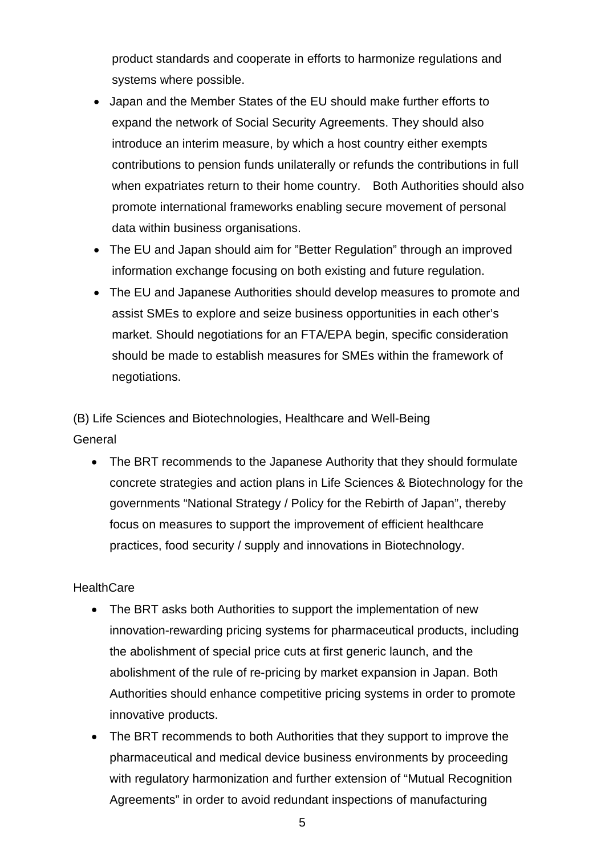product standards and cooperate in efforts to harmonize regulations and systems where possible.

- Japan and the Member States of the EU should make further efforts to expand the network of Social Security Agreements. They should also introduce an interim measure, by which a host country either exempts contributions to pension funds unilaterally or refunds the contributions in full when expatriates return to their home country. Both Authorities should also promote international frameworks enabling secure movement of personal data within business organisations.
- The EU and Japan should aim for "Better Regulation" through an improved information exchange focusing on both existing and future regulation.
- The EU and Japanese Authorities should develop measures to promote and assist SMEs to explore and seize business opportunities in each other's market. Should negotiations for an FTA/EPA begin, specific consideration should be made to establish measures for SMEs within the framework of negotiations.

(B) Life Sciences and Biotechnologies, Healthcare and Well-Being **General** 

• The BRT recommends to the Japanese Authority that they should formulate concrete strategies and action plans in Life Sciences & Biotechnology for the governments "National Strategy / Policy for the Rebirth of Japan", thereby focus on measures to support the improvement of efficient healthcare practices, food security / supply and innovations in Biotechnology.

## **HealthCare**

- The BRT asks both Authorities to support the implementation of new innovation-rewarding pricing systems for pharmaceutical products, including the abolishment of special price cuts at first generic launch, and the abolishment of the rule of re-pricing by market expansion in Japan. Both Authorities should enhance competitive pricing systems in order to promote innovative products.
- The BRT recommends to both Authorities that they support to improve the pharmaceutical and medical device business environments by proceeding with regulatory harmonization and further extension of "Mutual Recognition Agreements" in order to avoid redundant inspections of manufacturing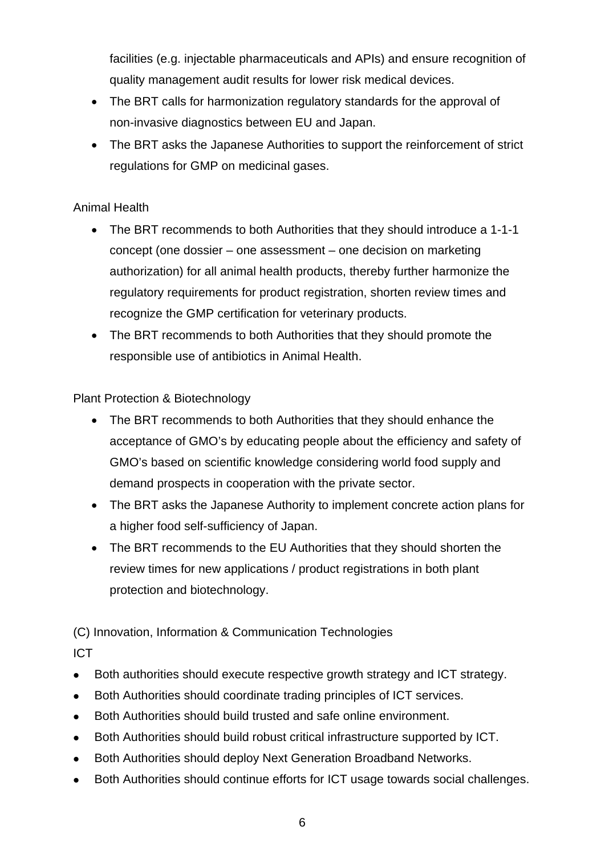facilities (e.g. injectable pharmaceuticals and APIs) and ensure recognition of quality management audit results for lower risk medical devices.

- The BRT calls for harmonization regulatory standards for the approval of non-invasive diagnostics between EU and Japan.
- The BRT asks the Japanese Authorities to support the reinforcement of strict regulations for GMP on medicinal gases.

## Animal Health

- The BRT recommends to both Authorities that they should introduce a 1-1-1 concept (one dossier – one assessment – one decision on marketing authorization) for all animal health products, thereby further harmonize the regulatory requirements for product registration, shorten review times and recognize the GMP certification for veterinary products.
- The BRT recommends to both Authorities that they should promote the responsible use of antibiotics in Animal Health.

## Plant Protection & Biotechnology

- The BRT recommends to both Authorities that they should enhance the acceptance of GMO's by educating people about the efficiency and safety of GMO's based on scientific knowledge considering world food supply and demand prospects in cooperation with the private sector.
- The BRT asks the Japanese Authority to implement concrete action plans for a higher food self-sufficiency of Japan.
- The BRT recommends to the EU Authorities that they should shorten the review times for new applications / product registrations in both plant protection and biotechnology.

(C) Innovation, Information & Communication Technologies ICT

- Both authorities should execute respective growth strategy and ICT strategy.
- Both Authorities should coordinate trading principles of ICT services.
- Both Authorities should build trusted and safe online environment.
- Both Authorities should build robust critical infrastructure supported by ICT.
- Both Authorities should deploy Next Generation Broadband Networks.
- Both Authorities should continue efforts for ICT usage towards social challenges.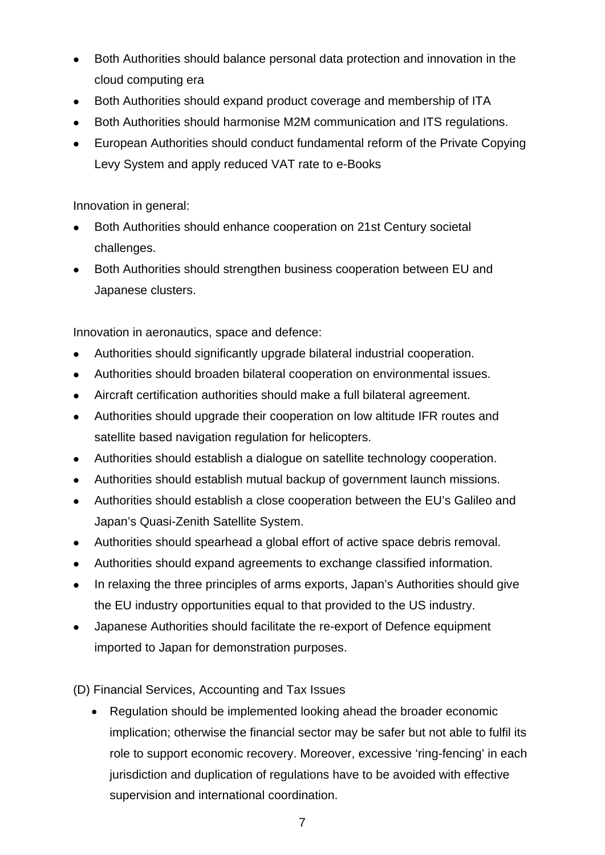- Both Authorities should balance personal data protection and innovation in the cloud computing era
- Both Authorities should expand product coverage and membership of ITA
- Both Authorities should harmonise M2M communication and ITS regulations.
- European Authorities should conduct fundamental reform of the Private Copying Levy System and apply reduced VAT rate to e-Books

Innovation in general:

- Both Authorities should enhance cooperation on 21st Century societal challenges.
- Both Authorities should strengthen business cooperation between EU and Japanese clusters.

Innovation in aeronautics, space and defence:

- <sup>z</sup> Authorities should *s*ignificantly upgrade bilateral industrial cooperation.
- Authorities should broaden bilateral cooperation on environmental issues.
- Aircraft certification authorities should make a full bilateral agreement.
- Authorities should upgrade their cooperation on low altitude IFR routes and satellite based navigation regulation for helicopters.
- Authorities should establish a dialogue on satellite technology cooperation.
- Authorities should establish mutual backup of government launch missions.
- Authorities should establish a close cooperation between the EU's Galileo and Japan's Quasi-Zenith Satellite System.
- Authorities should spearhead a global effort of active space debris removal.
- Authorities should expand agreements to exchange classified information.
- In relaxing the three principles of arms exports, Japan's Authorities should give the EU industry opportunities equal to that provided to the US industry.
- Japanese Authorities should facilitate the re-export of Defence equipment imported to Japan for demonstration purposes.

(D) Financial Services, Accounting and Tax Issues

• Regulation should be implemented looking ahead the broader economic implication; otherwise the financial sector may be safer but not able to fulfil its role to support economic recovery. Moreover, excessive 'ring-fencing' in each jurisdiction and duplication of regulations have to be avoided with effective supervision and international coordination.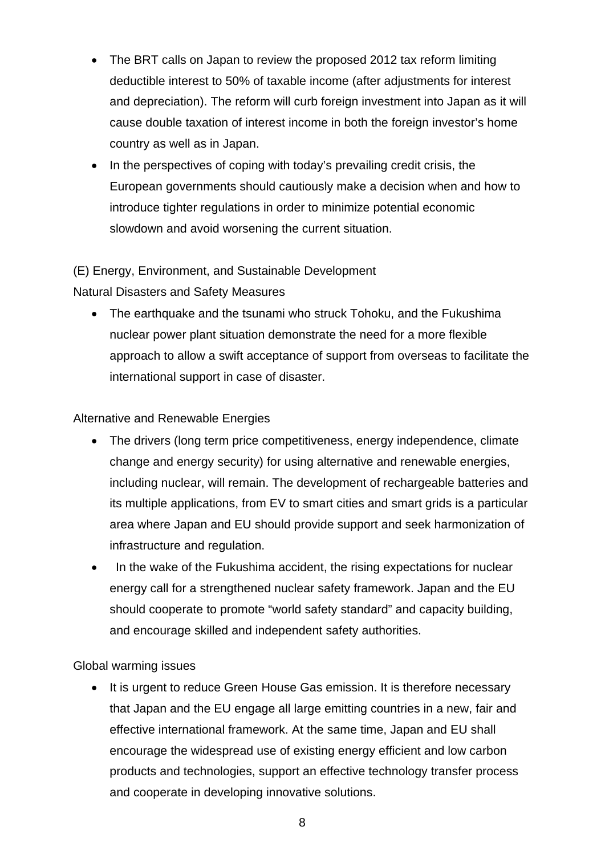- The BRT calls on Japan to review the proposed 2012 tax reform limiting deductible interest to 50% of taxable income (after adjustments for interest and depreciation). The reform will curb foreign investment into Japan as it will cause double taxation of interest income in both the foreign investor's home country as well as in Japan.
- In the perspectives of coping with today's prevailing credit crisis, the European governments should cautiously make a decision when and how to introduce tighter regulations in order to minimize potential economic slowdown and avoid worsening the current situation.

## (E) Energy, Environment, and Sustainable Development

## Natural Disasters and Safety Measures

• The earthquake and the tsunami who struck Tohoku, and the Fukushima nuclear power plant situation demonstrate the need for a more flexible approach to allow a swift acceptance of support from overseas to facilitate the international support in case of disaster.

## Alternative and Renewable Energies

- The drivers (long term price competitiveness, energy independence, climate change and energy security) for using alternative and renewable energies, including nuclear, will remain. The development of rechargeable batteries and its multiple applications, from EV to smart cities and smart grids is a particular area where Japan and EU should provide support and seek harmonization of infrastructure and regulation.
- In the wake of the Fukushima accident, the rising expectations for nuclear energy call for a strengthened nuclear safety framework. Japan and the EU should cooperate to promote "world safety standard" and capacity building, and encourage skilled and independent safety authorities.

## Global warming issues

• It is urgent to reduce Green House Gas emission. It is therefore necessary that Japan and the EU engage all large emitting countries in a new, fair and effective international framework. At the same time, Japan and EU shall encourage the widespread use of existing energy efficient and low carbon products and technologies, support an effective technology transfer process and cooperate in developing innovative solutions.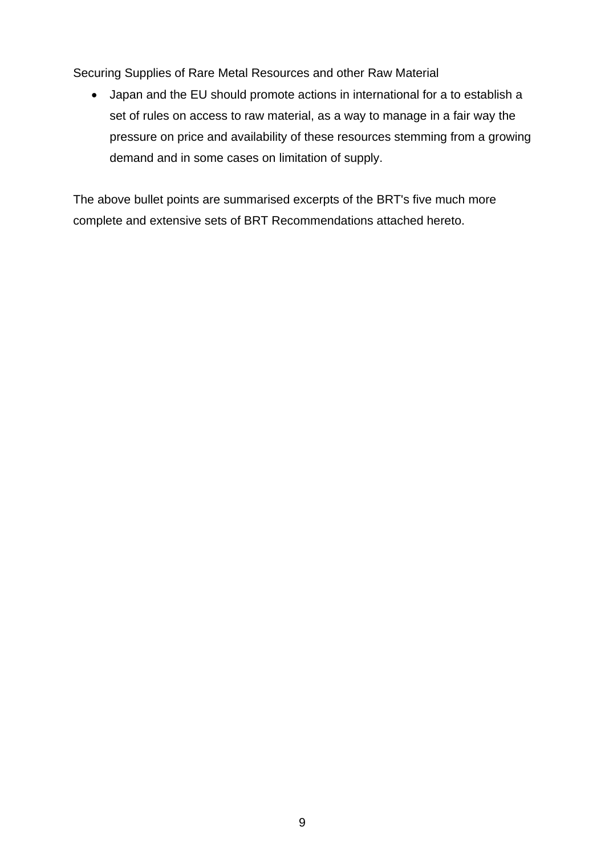Securing Supplies of Rare Metal Resources and other Raw Material

• Japan and the EU should promote actions in international for a to establish a set of rules on access to raw material, as a way to manage in a fair way the pressure on price and availability of these resources stemming from a growing demand and in some cases on limitation of supply.

The above bullet points are summarised excerpts of the BRT's five much more complete and extensive sets of BRT Recommendations attached hereto.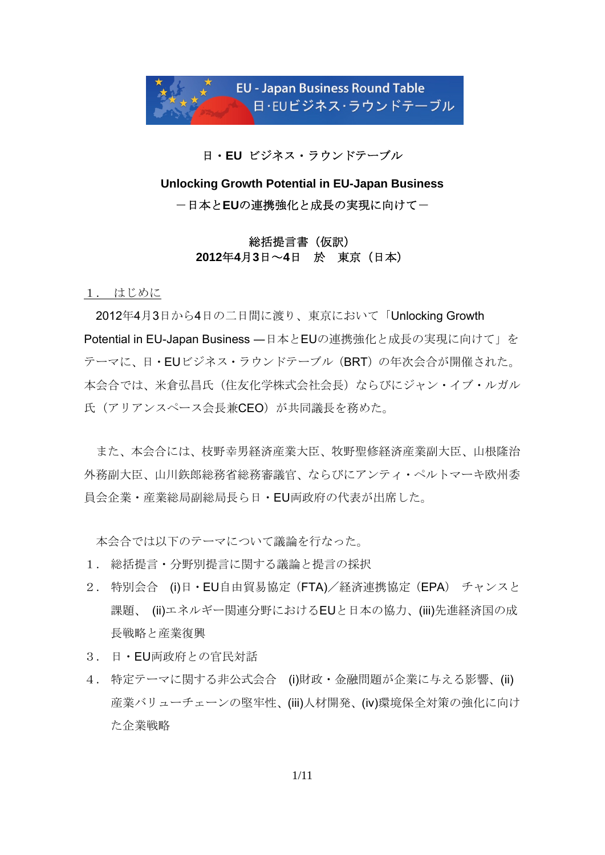

日・**EU** ビジネス・ラウンドテーブル

# **Unlocking Growth Potential in EU-Japan Business**  -日本と**EU**の連携強化と成長の実現に向けて-

### 総括提言書(仮訳) **2012**年**4**月**3**日~**4**日 於 東京(日本)

1. はじめに

2012年4月3日から4日の二日間に渡り、東京において「Unlocking Growth Potential in EU-Japan Business ―日本とEUの連携強化と成長の実現に向けて」を テーマに、日・EUビジネス・ラウンドテーブル(BRT)の年次会合が開催された。 本会合では、米倉弘昌氏(住友化学株式会社会長)ならびにジャン・イブ・ルガル 氏(アリアンスペース会長兼CEO)が共同議長を務めた。

また、本会合には、枝野幸男経済産業大臣、牧野聖修経済産業副大臣、山根隆治 外務副大臣、山川鉃郎総務省総務審議官、ならびにアンティ・ペルトマーキ欧州委 員会企業・産業総局副総局長ら日・EU両政府の代表が出席した。

本会合では以下のテーマについて議論を行なった。

- 1. 総括提言・分野別提言に関する議論と提言の採択
- 2. 特別会合 (i)日・EU自由貿易協定(FTA)/経済連携協定(EPA) チャンスと 課題、(ii)エネルギー関連分野におけるEUと日本の協力、(iii)先進経済国の成 長戦略と産業復興
- 3. 日・EU両政府との官民対話
- 4. 特定テーマに関する非公式会合 (i)財政・金融問題が企業に与える影響、(ii) 産業バリューチェーンの堅牢性、(iii)人材開発、(iv)環境保全対策の強化に向け た企業戦略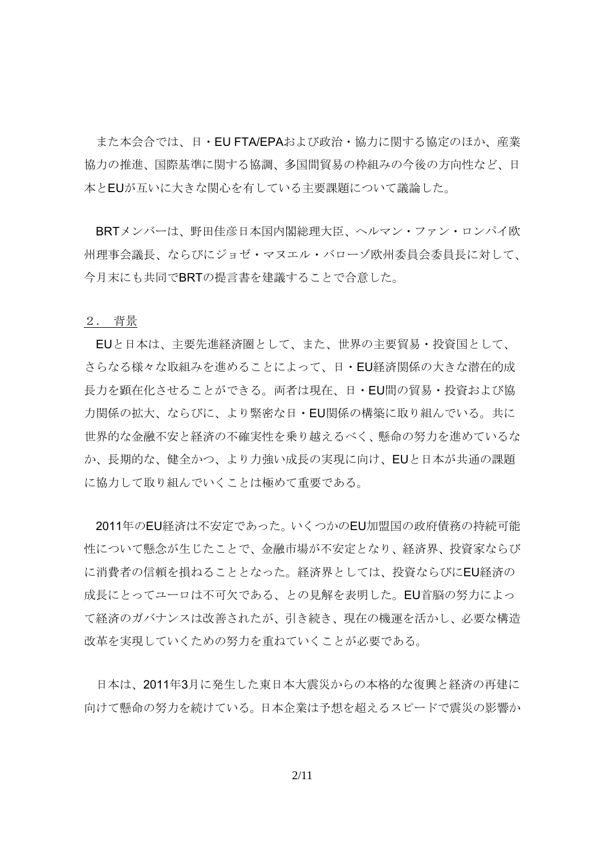また本会合では、日・EU FTA/EPAおよび政治・協力に関する協定のほか、産業 協力の推進、国際基準に関する協調、多国間貿易の枠組みの今後の方向性など、日 本とEUが互いに大きな関心を有している主要課題について議論した。

BRTメンバーは、野田佳彦日本国内閣総理大臣、ヘルマン・ファン・ロンパイ欧 州理事会議長、ならびにジョゼ・マヌエル・バローゾ欧州委員会委員長に対して、 今月末にも共同でBRTの提言書を建議することで合意した。

### 2. 背景

EUと日本は、主要先進経済圏として、また、世界の主要貿易・投資国として、 さらなる様々な取組みを進めることによって、日・EU経済関係の大きな潜在的成 長力を顕在化させることができる。両者は現在、日・EU間の貿易・投資および協 力関係の拡大、ならびに、より緊密な日・EU関係の構築に取り組んでいる。共に 世界的な金融不安と経済の不確実性を乗り越えるべく、懸命の努力を進めているな か、長期的な、健全かつ、より力強い成長の実現に向け、EUと日本が共通の課題 に協力して取り組んでいくことは極めて重要である。

2011年のEU経済は不安定であった。いくつかのEU加盟国の政府債務の持続可能 性について懸念が生じたことで、金融市場が不安定となり、経済界、投資家ならび に消費者の信頼を損ねることとなった。経済界としては、投資ならびにEU経済の 成長にとってユーロは不可欠である、との見解を表明した。EU首脳の努力によっ て経済のガバナンスは改善されたが、引き続き、現在の機運を活かし、必要な構造 改革を実現していくための努力を重ねていくことが必要である。

日本は、2011年3月に発生した東日本大震災からの本格的な復興と経済の再建に 向けて懸命の努力を続けている。日本企業は予想を超えるスピードで震災の影響か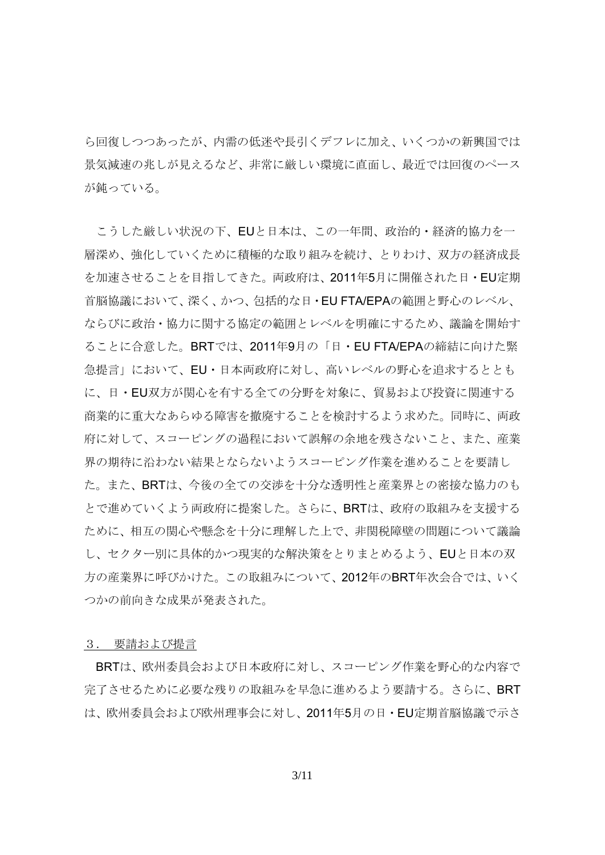ら回復しつつあったが、内需の低迷や長引くデフレに加え、いくつかの新興国では 景気減速の兆しが見えるなど、非常に厳しい環境に直面し、最近では回復のペース が鈍っている。

こうした厳しい状況の下、EUと日本は、この一年間、政治的・経済的協力を一 層深め、強化していくために積極的な取り組みを続け、とりわけ、双方の経済成長 を加速させることを目指してきた。両政府は、2011年5月に開催された日・EU定期 首脳協議において、深く、かつ、包括的な日・EU FTA/EPAの範囲と野心のレベル、 ならびに政治・協力に関する協定の範囲とレベルを明確にするため、議論を開始す ることに合意した。BRTでは、2011年9月の「日・EU FTA/EPAの締結に向けた緊 急提言」において、EU・日本両政府に対し、高いレベルの野心を追求するととも に、日・EU双方が関心を有する全ての分野を対象に、貿易および投資に関連する 商業的に重大なあらゆる障害を撤廃することを検討するよう求めた。同時に、両政 府に対して、スコーピングの過程において誤解の余地を残さないこと、また、産業 界の期待に沿わない結果とならないようスコーピング作業を進めることを要請し た。また、BRTは、今後の全ての交渉を十分な透明性と産業界との密接な協力のも とで進めていくよう両政府に提案した。さらに、BRTは、政府の取組みを支援する ために、相互の関心や懸念を十分に理解した上で、非関税障壁の問題について議論 し、セクター別に具体的かつ現実的な解決策をとりまとめるよう、EUと日本の双 方の産業界に呼びかけた。この取組みについて、2012年のBRT年次会合では、いく つかの前向きな成果が発表された。

#### 3. 要請および提言

BRTは、欧州委員会および日本政府に対し、スコーピング作業を野心的な内容で 完了させるために必要な残りの取組みを早急に進めるよう要請する。さらに、BRT は、欧州委員会および欧州理事会に対し、2011年5月の日・EU定期首脳協議で示さ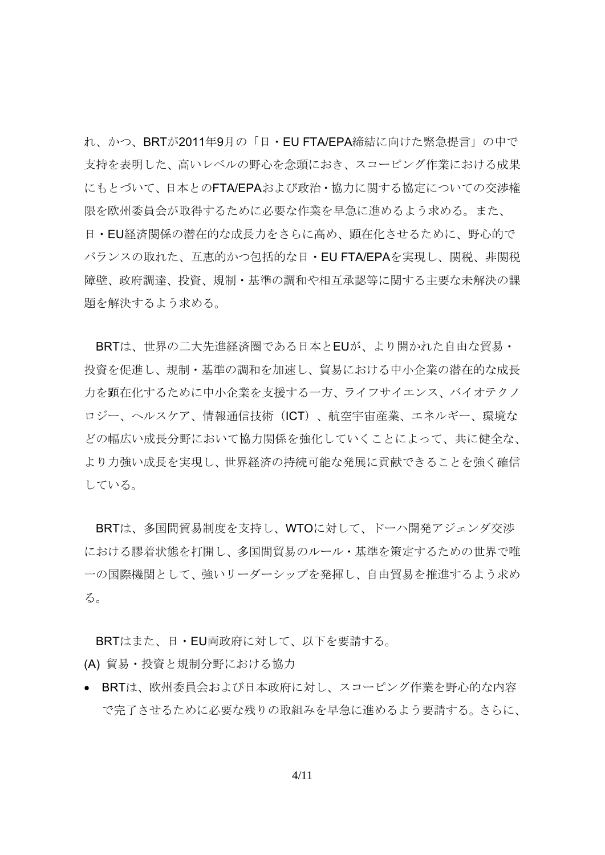れ、かつ、BRTが2011年9月の「日・EU FTA/EPA締結に向けた緊急提言」の中で 支持を表明した、高いレベルの野心を念頭におき、スコーピング作業における成果 にもとづいて、日本とのFTA/EPAおよび政治・協力に関する協定についての交渉権 限を欧州委員会が取得するために必要な作業を早急に進めるよう求める。また、 日・EU経済関係の潜在的な成長力をさらに高め、顕在化させるために、野心的で バランスの取れた、互恵的かつ包括的な日・EU FTA/EPAを実現し、関税、非関税 障壁、政府調達、投資、規制・基準の調和や相互承認等に関する主要な未解決の課 題を解決するよう求める。

BRTは、世界の二大先進経済圏である日本とEUが、より開かれた自由な貿易・ 投資を促進し、規制・基準の調和を加速し、貿易における中小企業の潜在的な成長 力を顕在化するために中小企業を支援する一方、ライフサイエンス、バイオテクノ ロジー、ヘルスケア、情報通信技術(ICT)、航空宇宙産業、エネルギー、環境な どの幅広い成長分野において協力関係を強化していくことによって、共に健全な、 より力強い成長を実現し、世界経済の持続可能な発展に貢献できることを強く確信 している。

BRTは、多国間貿易制度を支持し、WTOに対して、ドーハ開発アジェンダ交渉 における膠着状態を打開し、多国間貿易のルール・基準を策定するための世界で唯 一の国際機関として、強いリーダーシップを発揮し、自由貿易を推進するよう求め る。

BRTはまた、日・EU両政府に対して、以下を要請する。

(A) 貿易・投資と規制分野における協力

• BRTは、欧州委員会および日本政府に対し、スコーピング作業を野心的な内容 で完了させるために必要な残りの取組みを早急に進めるよう要請する。さらに、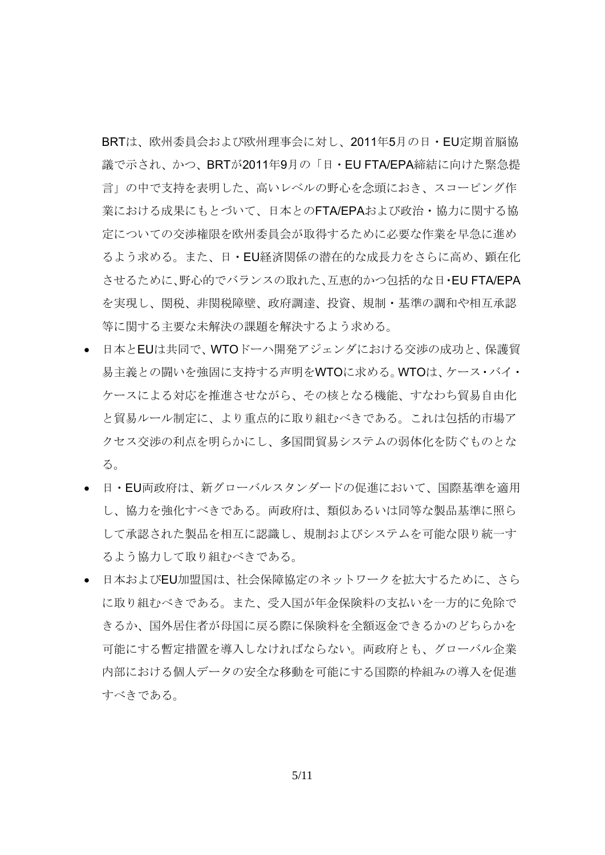BRTは、欧州委員会および欧州理事会に対し、2011年5月の日・EU定期首脳協 議で示され、かつ、BRTが2011年9月の「日・EU FTA/EPA締結に向けた緊急提 言」の中で支持を表明した、高いレベルの野心を念頭におき、スコーピング作 業における成果にもとづいて、日本とのFTA/EPAおよび政治・協力に関する協 定についての交渉権限を欧州委員会が取得するために必要な作業を早急に進め るよう求める。また、日・EU経済関係の潜在的な成長力をさらに高め、顕在化 させるために、野心的でバランスの取れた、互恵的かつ包括的な日・EU FTA/EPA を実現し、関税、非関税障壁、政府調達、投資、規制・基準の調和や相互承認 等に関する主要な未解決の課題を解決するよう求める。

- 日本とEUは共同で、WTOドーハ開発アジェンダにおける交渉の成功と、保護貿 易主義との闘いを強固に支持する声明をWTOに求める。WTOは、ケース・バイ・ ケースによる対応を推進させながら、その核となる機能、すなわち貿易自由化 と貿易ルール制定に、より重点的に取り組むべきである。これは包括的市場ア クセス交渉の利点を明らかにし、多国間貿易システムの弱体化を防ぐものとな る。
- 日・EU両政府は、新グローバルスタンダードの促進において、国際基準を適用 し、協力を強化すべきである。両政府は、類似あるいは同等な製品基準に照ら して承認された製品を相互に認識し、規制およびシステムを可能な限り統一す るよう協力して取り組むべきである。
- 日本およびEU加盟国は、社会保障協定のネットワークを拡大するために、さら に取り組むべきである。また、受入国が年金保険料の支払いを一方的に免除で きるか、国外居住者が母国に戻る際に保険料を全額返金できるかのどちらかを 可能にする暫定措置を導入しなければならない。両政府とも、グローバル企業 内部における個人データの安全な移動を可能にする国際的枠組みの導入を促進 すべきである。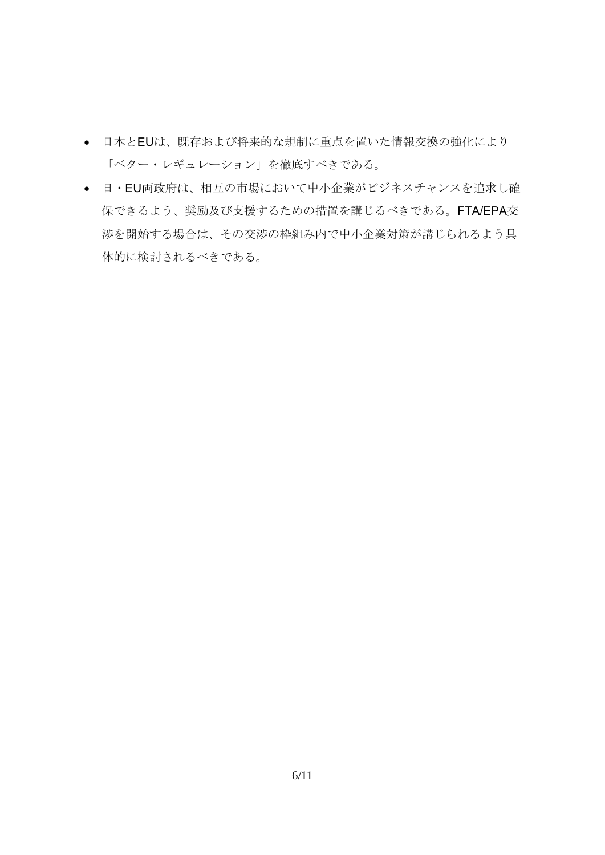- 日本とEUは、既存および将来的な規制に重点を置いた情報交換の強化により 「ベター・レギュレーション」を徹底すべきである。
- 日・EU両政府は、相互の市場において中小企業がビジネスチャンスを追求し確 保できるよう、奨励及び支援するための措置を講じるべきである。FTA/EPA交 渉を開始する場合は、その交渉の枠組み内で中小企業対策が講じられるよう具 体的に検討されるべきである。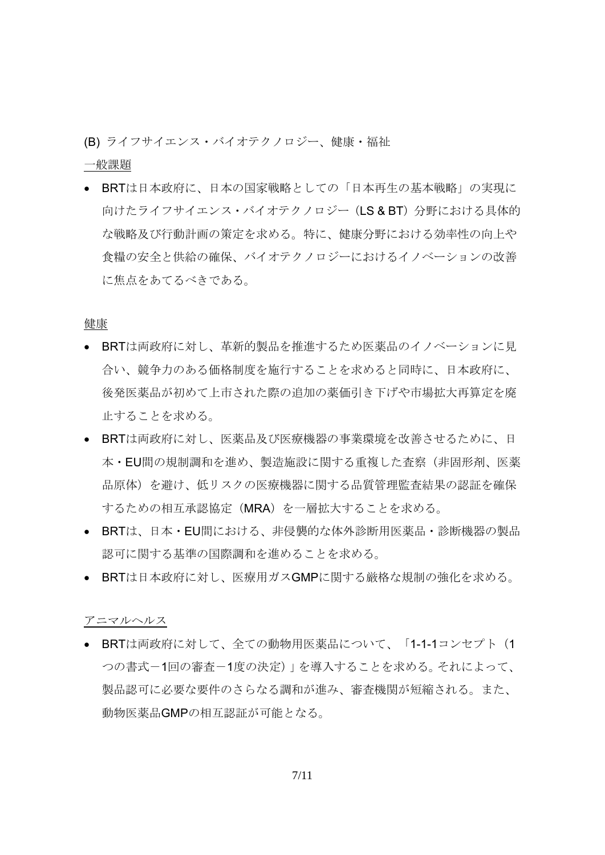(B) ライフサイエンス・バイオテクノロジー、健康・福祉

一般課題

• BRTは日本政府に、日本の国家戦略としての「日本再生の基本戦略」の実現に 向けたライフサイエンス・バイオテクノロジー (LS & BT) 分野における具体的 な戦略及び行動計画の策定を求める。特に、健康分野における効率性の向上や 食糧の安全と供給の確保、バイオテクノロジーにおけるイノベーションの改善 に焦点をあてるべきである。

健康

- BRTは両政府に対し、革新的製品を推進するため医薬品のイノベーションに見 合い、競争力のある価格制度を施行することを求めると同時に、日本政府に、 後発医薬品が初めて上市された際の追加の薬価引き下げや市場拡大再算定を廃 止することを求める。
- BRTは両政府に対し、医薬品及び医療機器の事業環境を改善させるために、日 本・EU間の規制調和を進め、製造施設に関する重複した査察(非固形剤、医薬 品原体)を避け、低リスクの医療機器に関する品質管理監査結果の認証を確保 するための相互承認協定(MRA)を一層拡大することを求める。
- BRTは、日本・EU間における、非侵襲的な体外診断用医薬品・診断機器の製品 認可に関する基準の国際調和を進めることを求める。
- BRTは日本政府に対し、医療用ガスGMPに関する厳格な規制の強化を求める。

アニマルヘルス

• BRTは両政府に対して、全ての動物用医薬品について、「1-1-1コンセプト(1 つの書式-1回の審査-1度の決定)」を導入することを求める。それによって、 製品認可に必要な要件のさらなる調和が進み、審査機関が短縮される。また、 動物医薬品GMPの相互認証が可能となる。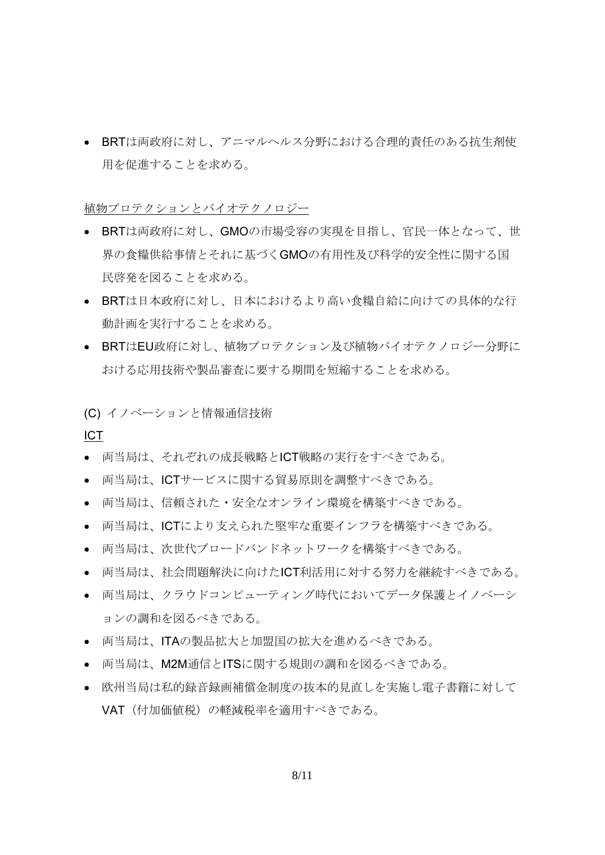• BRTは両政府に対し、アニマルヘルス分野における合理的責任のある抗生剤使 用を促進することを求める。

植物プロテクションとバイオテクノロジー

- BRTは両政府に対し、GMOの市場受容の実現を目指し、官民一体となって、世 界の食糧供給事情とそれに基づくGMOの有用性及び科学的安全性に関する国 民啓発を図ることを求める。
- BRTは日本政府に対し、日本におけるより高い食糧自給に向けての具体的な行 動計画を実行することを求める。
- BRTはEU政府に対し、植物プロテクション及び植物バイオテクノロジー分野に おける応用技術や製品審査に要する期間を短縮することを求める。

(C) イノベーションと情報通信技術

ICT

- 両当局は、それぞれの成長戦略とICT戦略の実行をすべきである。
- 両当局は、ICTサービスに関する貿易原則を調整すべきである。
- 両当局は、信頼された・安全なオンライン環境を構築すべきである。
- 両当局は、ICTにより支えられた堅牢な重要インフラを構築すべきである。
- 両当局は、次世代ブロードバンドネットワークを構築すべきである。
- 両当局は、社会問題解決に向けたICT利活用に対する努力を継続すべきである。
- 両当局は、クラウドコンピューティング時代においてデータ保護とイノベーシ ョンの調和を図るべきである。
- 両当局は、ITAの製品拡大と加盟国の拡大を進めるべきである。
- 両当局は、M2M通信とITSに関する規則の調和を図るべきである。
- 欧州当局は私的録音録画補償金制度の抜本的見直しを実施し電子書籍に対して VAT(付加価値税)の軽減税率を適用すべきである。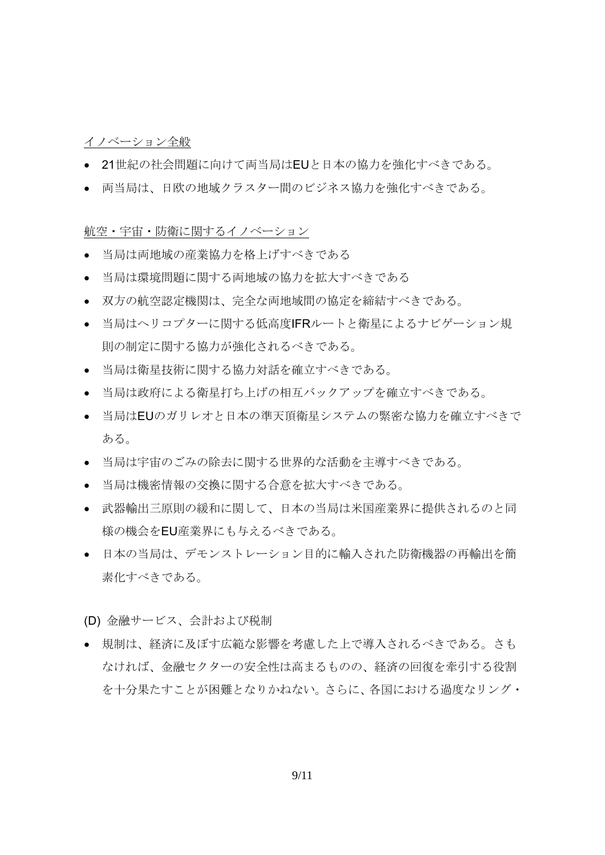### イノベーション全般

- 21世紀の社会問題に向けて両当局はEUと日本の協力を強化すべきである。
- 両当局は、日欧の地域クラスター間のビジネス協力を強化すべきである。

航空・宇宙・防衛に関するイノベーション

- 当局は両地域の産業協力を格上げすべきである
- 当局は環境問題に関する両地域の協力を拡大すべきである
- 双方の航空認定機関は、完全な両地域間の協定を締結すべきである。
- 当局はヘリコプターに関する低高度IFRルートと衛星によるナビゲーション規 則の制定に関する協力が強化されるべきである。
- 当局は衛星技術に関する協力対話を確立すべきである。
- 当局は政府による衛星打ち上げの相互バックアップを確立すべきである。
- 当局はEUのガリレオと日本の準天頂衛星システムの緊密な協力を確立すべきで ある。
- 当局は宇宙のごみの除去に関する世界的な活動を主導すべきである。
- 当局は機密情報の交換に関する合意を拡大すべきである。
- 武器輸出三原則の緩和に関して、日本の当局は米国産業界に提供されるのと同 様の機会をEU産業界にも与えるべきである。
- 日本の当局は、デモンストレーション目的に輸入された防衛機器の再輸出を簡 素化すべきである。
- (D) 金融サービス、会計および税制
- 規制は、経済に及ぼす広範な影響を考慮した上で導入されるべきである。さも なければ、金融セクターの安全性は高まるものの、経済の回復を牽引する役割 を十分果たすことが困難となりかねない。さらに、各国における過度なリング・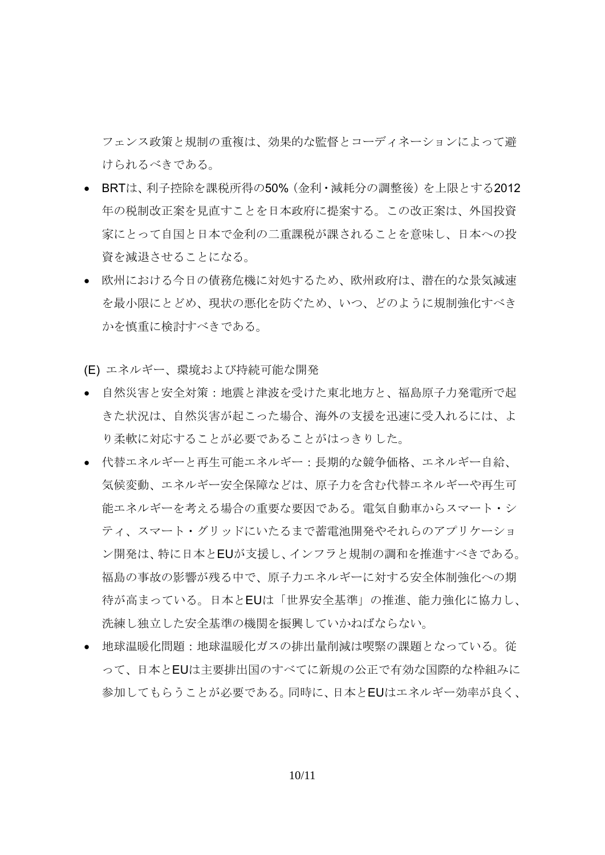フェンス政策と規制の重複は、効果的な監督とコーディネーションによって避 けられるべきである。

- BRTは、利子控除を課税所得の50%(金利・減耗分の調整後)を上限とする2012 年の税制改正案を見直すことを日本政府に提案する。この改正案は、外国投資 家にとって自国と日本で金利の二重課税が課されることを意味し、日本への投 資を減退させることになる。
- 欧州における今日の債務危機に対処するため、欧州政府は、潜在的な景気減速 を最小限にとどめ、現状の悪化を防ぐため、いつ、どのように規制強化すべき かを慎重に検討すべきである。
- (E) エネルギー、環境および持続可能な開発
- 自然災害と安全対策:地震と津波を受けた東北地方と、福島原子力発電所で起 きた状況は、自然災害が起こった場合、海外の支援を迅速に受入れるには、よ り柔軟に対応することが必要であることがはっきりした。
- 代替エネルギーと再生可能エネルギー:長期的な競争価格、エネルギー自給、 気候変動、エネルギー安全保障などは、原子力を含む代替エネルギーや再生可 能エネルギーを考える場合の重要な要因である。電気自動車からスマート・シ ティ、スマート・グリッドにいたるまで蓄電池開発やそれらのアプリケーショ ン開発は、特に日本とEUが支援し、インフラと規制の調和を推進すべきである。 福島の事故の影響が残る中で、原子力エネルギーに対する安全体制強化への期 待が高まっている。日本とEUは「世界安全基準」の推進、能力強化に協力し、 洗練し独立した安全基準の機関を振興していかねばならない。
- 地球温暖化問題:地球温暖化ガスの排出量削減は喫緊の課題となっている。従 って、日本とEUは主要排出国のすべてに新規の公正で有効な国際的な枠組みに 参加してもらうことが必要である。同時に、日本とEUはエネルギー効率が良く、